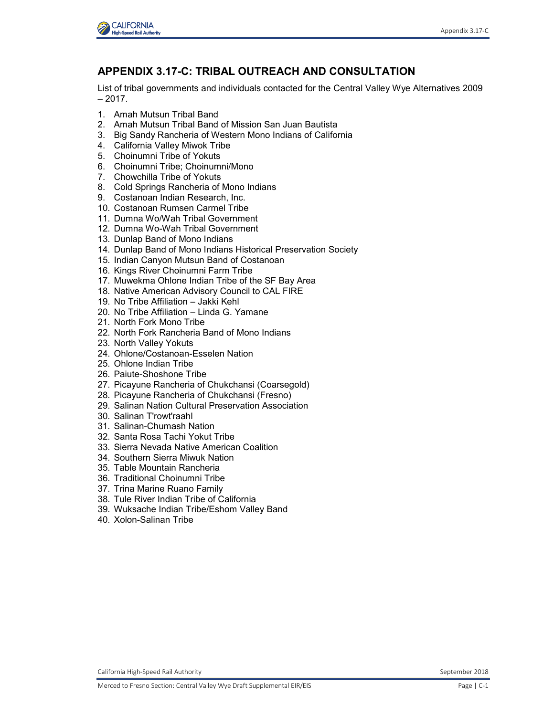

## **APPENDIX 3.17-C: TRIBAL OUTREACH AND CONSULTATION**

List of tribal governments and individuals contacted for the Central Valley Wye Alternatives 2009  $-2017.$ 

- 1. Amah Mutsun Tribal Band
- 2. Amah Mutsun Tribal Band of Mission San Juan Bautista
- 3. Big Sandy Rancheria of Western Mono Indians of California
- 4. California Valley Miwok Tribe
- 5. Choinumni Tribe of Yokuts
- 6. Choinumni Tribe; Choinumni/Mono
- 7. Chowchilla Tribe of Yokuts
- 8. Cold Springs Rancheria of Mono Indians
- 9. Costanoan Indian Research, Inc.
- 10. Costanoan Rumsen Carmel Tribe
- 11. Dumna Wo/Wah Tribal Government
- 12. Dumna Wo-Wah Tribal Government
- 13. Dunlap Band of Mono Indians
- 14. Dunlap Band of Mono Indians Historical Preservation Society
- 15. Indian Canyon Mutsun Band of Costanoan
- 16. Kings River Choinumni Farm Tribe
- 17. Muwekma Ohlone Indian Tribe of the SF Bay Area
- 18. Native American Advisory Council to CAL FIRE
- 19. No Tribe Affiliation Jakki Kehl
- 20. No Tribe Affiliation Linda G. Yamane
- 21. North Fork Mono Tribe
- 22. North Fork Rancheria Band of Mono Indians
- 23. North Valley Yokuts
- 24. Ohlone/Costanoan-Esselen Nation
- 25. Ohlone Indian Tribe
- 26. Paiute-Shoshone Tribe
- 27. Picayune Rancheria of Chukchansi (Coarsegold)
- 28. Picayune Rancheria of Chukchansi (Fresno)
- 29. Salinan Nation Cultural Preservation Association
- 30. Salinan T'rowt'raahl
- 31. Salinan-Chumash Nation
- 32. Santa Rosa Tachi Yokut Tribe
- 33. Sierra Nevada Native American Coalition
- 34. Southern Sierra Miwuk Nation
- 35. Table Mountain Rancheria
- 36. Traditional Choinumni Tribe
- 37. Trina Marine Ruano Family
- 38. Tule River Indian Tribe of California
- 39. Wuksache Indian Tribe/Eshom Valley Band
- 40. Xolon-Salinan Tribe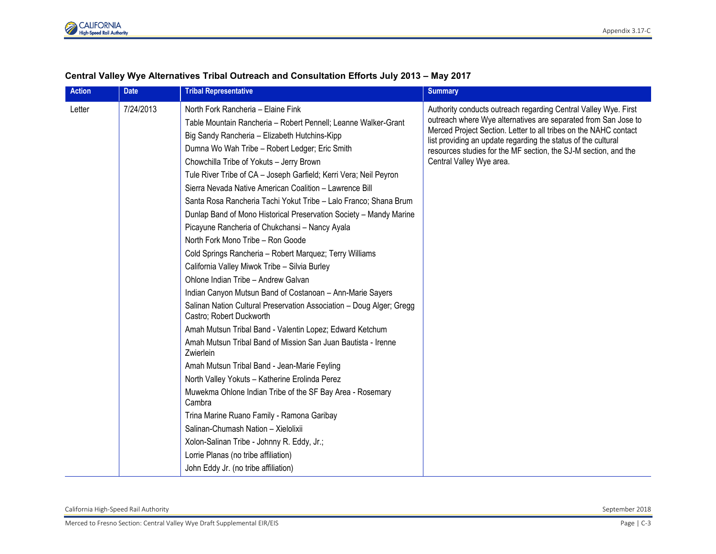

| <b>Action</b> | <b>Date</b> | <b>Tribal Representative</b>                                                                                                                                                                                                                                                                                                                                                                                                                                                                                                                                                                                                                                                                                                                                                                                                                                                                                                                                                                                                                                                                                                                                                                                                                                                                                                                     | <b>Summary</b>                                                                                                                                                                                                                                                                                                                                                        |
|---------------|-------------|--------------------------------------------------------------------------------------------------------------------------------------------------------------------------------------------------------------------------------------------------------------------------------------------------------------------------------------------------------------------------------------------------------------------------------------------------------------------------------------------------------------------------------------------------------------------------------------------------------------------------------------------------------------------------------------------------------------------------------------------------------------------------------------------------------------------------------------------------------------------------------------------------------------------------------------------------------------------------------------------------------------------------------------------------------------------------------------------------------------------------------------------------------------------------------------------------------------------------------------------------------------------------------------------------------------------------------------------------|-----------------------------------------------------------------------------------------------------------------------------------------------------------------------------------------------------------------------------------------------------------------------------------------------------------------------------------------------------------------------|
| Letter        | 7/24/2013   | North Fork Rancheria - Elaine Fink<br>Table Mountain Rancheria - Robert Pennell; Leanne Walker-Grant<br>Big Sandy Rancheria - Elizabeth Hutchins-Kipp<br>Dumna Wo Wah Tribe - Robert Ledger; Eric Smith<br>Chowchilla Tribe of Yokuts - Jerry Brown<br>Tule River Tribe of CA - Joseph Garfield; Kerri Vera; Neil Peyron<br>Sierra Nevada Native American Coalition - Lawrence Bill<br>Santa Rosa Rancheria Tachi Yokut Tribe - Lalo Franco; Shana Brum<br>Dunlap Band of Mono Historical Preservation Society - Mandy Marine<br>Picayune Rancheria of Chukchansi - Nancy Ayala<br>North Fork Mono Tribe - Ron Goode<br>Cold Springs Rancheria - Robert Marquez; Terry Williams<br>California Valley Miwok Tribe - Silvia Burley<br>Ohlone Indian Tribe - Andrew Galvan<br>Indian Canyon Mutsun Band of Costanoan - Ann-Marie Sayers<br>Salinan Nation Cultural Preservation Association - Doug Alger; Gregg<br>Castro: Robert Duckworth<br>Amah Mutsun Tribal Band - Valentin Lopez; Edward Ketchum<br>Amah Mutsun Tribal Band of Mission San Juan Bautista - Irenne<br>Zwierlein<br>Amah Mutsun Tribal Band - Jean-Marie Feyling<br>North Valley Yokuts - Katherine Erolinda Perez<br>Muwekma Ohlone Indian Tribe of the SF Bay Area - Rosemary<br>Cambra<br>Trina Marine Ruano Family - Ramona Garibay<br>Salinan-Chumash Nation - Xielolixii | Authority conducts outreach regarding Central Valley Wye. First<br>outreach where Wye alternatives are separated from San Jose to<br>Merced Project Section. Letter to all tribes on the NAHC contact<br>list providing an update regarding the status of the cultural<br>resources studies for the MF section, the SJ-M section, and the<br>Central Valley Wye area. |
|               |             | Xolon-Salinan Tribe - Johnny R. Eddy, Jr.;                                                                                                                                                                                                                                                                                                                                                                                                                                                                                                                                                                                                                                                                                                                                                                                                                                                                                                                                                                                                                                                                                                                                                                                                                                                                                                       |                                                                                                                                                                                                                                                                                                                                                                       |
|               |             | Lorrie Planas (no tribe affiliation)                                                                                                                                                                                                                                                                                                                                                                                                                                                                                                                                                                                                                                                                                                                                                                                                                                                                                                                                                                                                                                                                                                                                                                                                                                                                                                             |                                                                                                                                                                                                                                                                                                                                                                       |
|               |             | John Eddy Jr. (no tribe affiliation)                                                                                                                                                                                                                                                                                                                                                                                                                                                                                                                                                                                                                                                                                                                                                                                                                                                                                                                                                                                                                                                                                                                                                                                                                                                                                                             |                                                                                                                                                                                                                                                                                                                                                                       |

## **Central Valley Wye Alternatives Tribal Outreach and Consultation Efforts July 2013 – May 2017**

California High-Speed Rail Authority September 2018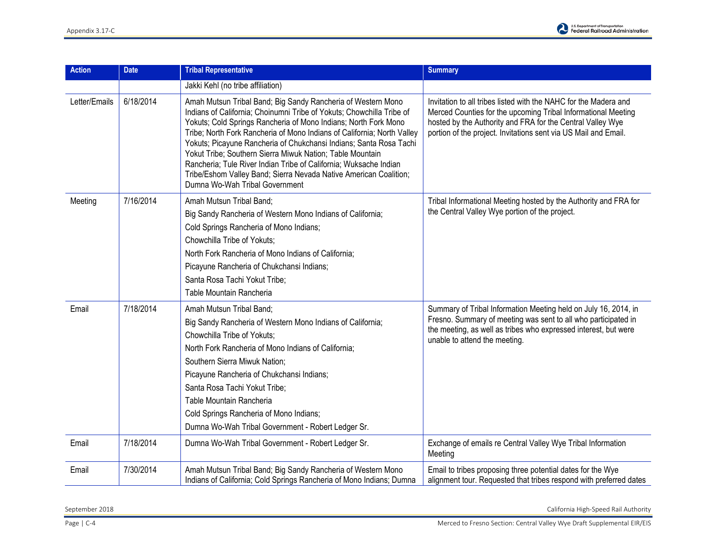

| <b>Action</b> | <b>Date</b> | <b>Tribal Representative</b>                                                                                                                                                                                                                                                                                                                                                                                                                                                                                                                                                                       | <b>Summary</b>                                                                                                                                                                                                                                                     |
|---------------|-------------|----------------------------------------------------------------------------------------------------------------------------------------------------------------------------------------------------------------------------------------------------------------------------------------------------------------------------------------------------------------------------------------------------------------------------------------------------------------------------------------------------------------------------------------------------------------------------------------------------|--------------------------------------------------------------------------------------------------------------------------------------------------------------------------------------------------------------------------------------------------------------------|
|               |             | Jakki Kehl (no tribe affiliation)                                                                                                                                                                                                                                                                                                                                                                                                                                                                                                                                                                  |                                                                                                                                                                                                                                                                    |
| Letter/Emails | 6/18/2014   | Amah Mutsun Tribal Band; Big Sandy Rancheria of Western Mono<br>Indians of California; Choinumni Tribe of Yokuts; Chowchilla Tribe of<br>Yokuts; Cold Springs Rancheria of Mono Indians; North Fork Mono<br>Tribe; North Fork Rancheria of Mono Indians of California; North Valley<br>Yokuts; Picayune Rancheria of Chukchansi Indians; Santa Rosa Tachi<br>Yokut Tribe; Southern Sierra Miwuk Nation; Table Mountain<br>Rancheria; Tule River Indian Tribe of California; Wuksache Indian<br>Tribe/Eshom Valley Band; Sierra Nevada Native American Coalition;<br>Dumna Wo-Wah Tribal Government | Invitation to all tribes listed with the NAHC for the Madera and<br>Merced Counties for the upcoming Tribal Informational Meeting<br>hosted by the Authority and FRA for the Central Valley Wye<br>portion of the project. Invitations sent via US Mail and Email. |
| Meeting       | 7/16/2014   | Amah Mutsun Tribal Band;<br>Big Sandy Rancheria of Western Mono Indians of California;<br>Cold Springs Rancheria of Mono Indians;<br>Chowchilla Tribe of Yokuts;<br>North Fork Rancheria of Mono Indians of California;<br>Picayune Rancheria of Chukchansi Indians;<br>Santa Rosa Tachi Yokut Tribe:<br>Table Mountain Rancheria                                                                                                                                                                                                                                                                  | Tribal Informational Meeting hosted by the Authority and FRA for<br>the Central Valley Wye portion of the project.                                                                                                                                                 |
| Email         | 7/18/2014   | Amah Mutsun Tribal Band;<br>Big Sandy Rancheria of Western Mono Indians of California;<br>Chowchilla Tribe of Yokuts;<br>North Fork Rancheria of Mono Indians of California;<br>Southern Sierra Miwuk Nation;<br>Picayune Rancheria of Chukchansi Indians;<br>Santa Rosa Tachi Yokut Tribe:<br>Table Mountain Rancheria<br>Cold Springs Rancheria of Mono Indians;<br>Dumna Wo-Wah Tribal Government - Robert Ledger Sr.                                                                                                                                                                           | Summary of Tribal Information Meeting held on July 16, 2014, in<br>Fresno. Summary of meeting was sent to all who participated in<br>the meeting, as well as tribes who expressed interest, but were<br>unable to attend the meeting.                              |
| Email         | 7/18/2014   | Dumna Wo-Wah Tribal Government - Robert Ledger Sr.                                                                                                                                                                                                                                                                                                                                                                                                                                                                                                                                                 | Exchange of emails re Central Valley Wye Tribal Information<br>Meeting                                                                                                                                                                                             |
| Email         | 7/30/2014   | Amah Mutsun Tribal Band; Big Sandy Rancheria of Western Mono<br>Indians of California; Cold Springs Rancheria of Mono Indians; Dumna                                                                                                                                                                                                                                                                                                                                                                                                                                                               | Email to tribes proposing three potential dates for the Wye<br>alignment tour. Requested that tribes respond with preferred dates                                                                                                                                  |

September 2018 California High-Speed Rail Authority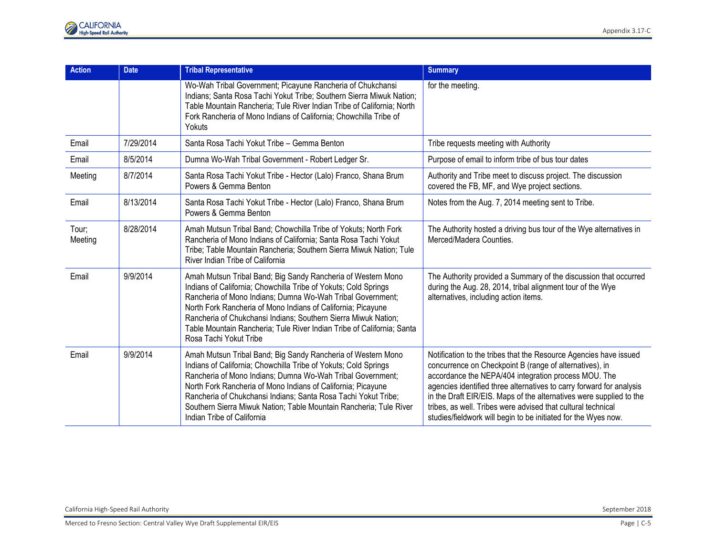| Action           | <b>Date</b> | <b>Tribal Representative</b>                                                                                                                                                                                                                                                                                                                                                                                                        | <b>Summary</b>                                                                                                                                                                                                                                                                                                                                                                                                                                                        |
|------------------|-------------|-------------------------------------------------------------------------------------------------------------------------------------------------------------------------------------------------------------------------------------------------------------------------------------------------------------------------------------------------------------------------------------------------------------------------------------|-----------------------------------------------------------------------------------------------------------------------------------------------------------------------------------------------------------------------------------------------------------------------------------------------------------------------------------------------------------------------------------------------------------------------------------------------------------------------|
|                  |             | Wo-Wah Tribal Government; Picayune Rancheria of Chukchansi<br>Indians; Santa Rosa Tachi Yokut Tribe; Southern Sierra Miwuk Nation;<br>Table Mountain Rancheria; Tule River Indian Tribe of California; North<br>Fork Rancheria of Mono Indians of California; Chowchilla Tribe of<br>Yokuts                                                                                                                                         | for the meeting.                                                                                                                                                                                                                                                                                                                                                                                                                                                      |
| Email            | 7/29/2014   | Santa Rosa Tachi Yokut Tribe - Gemma Benton                                                                                                                                                                                                                                                                                                                                                                                         | Tribe requests meeting with Authority                                                                                                                                                                                                                                                                                                                                                                                                                                 |
| Email            | 8/5/2014    | Dumna Wo-Wah Tribal Government - Robert Ledger Sr.                                                                                                                                                                                                                                                                                                                                                                                  | Purpose of email to inform tribe of bus tour dates                                                                                                                                                                                                                                                                                                                                                                                                                    |
| Meeting          | 8/7/2014    | Santa Rosa Tachi Yokut Tribe - Hector (Lalo) Franco, Shana Brum<br>Powers & Gemma Benton                                                                                                                                                                                                                                                                                                                                            | Authority and Tribe meet to discuss project. The discussion<br>covered the FB, MF, and Wye project sections.                                                                                                                                                                                                                                                                                                                                                          |
| Email            | 8/13/2014   | Santa Rosa Tachi Yokut Tribe - Hector (Lalo) Franco, Shana Brum<br>Powers & Gemma Benton                                                                                                                                                                                                                                                                                                                                            | Notes from the Aug. 7, 2014 meeting sent to Tribe.                                                                                                                                                                                                                                                                                                                                                                                                                    |
| Tour;<br>Meeting | 8/28/2014   | Amah Mutsun Tribal Band; Chowchilla Tribe of Yokuts; North Fork<br>Rancheria of Mono Indians of California; Santa Rosa Tachi Yokut<br>Tribe; Table Mountain Rancheria; Southern Sierra Miwuk Nation; Tule<br>River Indian Tribe of California                                                                                                                                                                                       | The Authority hosted a driving bus tour of the Wye alternatives in<br>Merced/Madera Counties.                                                                                                                                                                                                                                                                                                                                                                         |
| Email            | 9/9/2014    | Amah Mutsun Tribal Band; Big Sandy Rancheria of Western Mono<br>Indians of California; Chowchilla Tribe of Yokuts; Cold Springs<br>Rancheria of Mono Indians; Dumna Wo-Wah Tribal Government;<br>North Fork Rancheria of Mono Indians of California; Picayune<br>Rancheria of Chukchansi Indians; Southern Sierra Miwuk Nation;<br>Table Mountain Rancheria; Tule River Indian Tribe of California; Santa<br>Rosa Tachi Yokut Tribe | The Authority provided a Summary of the discussion that occurred<br>during the Aug. 28, 2014, tribal alignment tour of the Wye<br>alternatives, including action items.                                                                                                                                                                                                                                                                                               |
| Email            | 9/9/2014    | Amah Mutsun Tribal Band; Big Sandy Rancheria of Western Mono<br>Indians of California; Chowchilla Tribe of Yokuts; Cold Springs<br>Rancheria of Mono Indians; Dumna Wo-Wah Tribal Government;<br>North Fork Rancheria of Mono Indians of California; Picayune<br>Rancheria of Chukchansi Indians; Santa Rosa Tachi Yokut Tribe;<br>Southern Sierra Miwuk Nation; Table Mountain Rancheria; Tule River<br>Indian Tribe of California | Notification to the tribes that the Resource Agencies have issued<br>concurrence on Checkpoint B (range of alternatives), in<br>accordance the NEPA/404 integration process MOU. The<br>agencies identified three alternatives to carry forward for analysis<br>in the Draft EIR/EIS. Maps of the alternatives were supplied to the<br>tribes, as well. Tribes were advised that cultural technical<br>studies/fieldwork will begin to be initiated for the Wyes now. |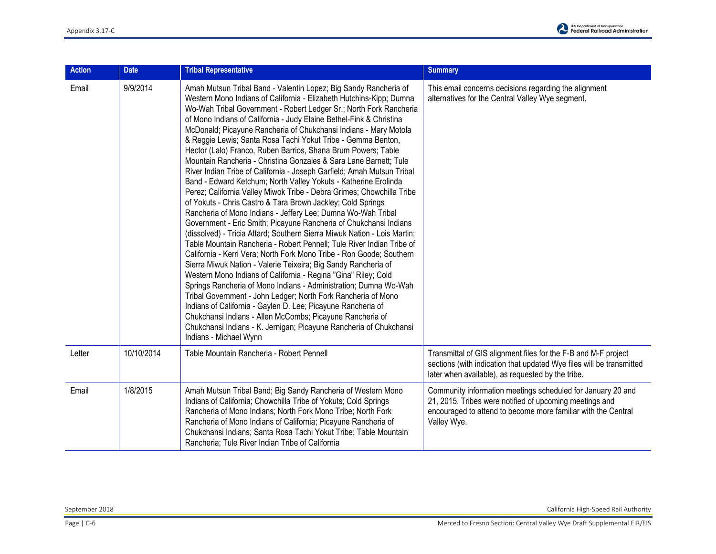| <b>Action</b> | <b>Date</b> | <b>Tribal Representative</b>                                                                                                                                                                                                                                                                                                                                                                                                                                                                                                                                                                                                                                                                                                                                                                                                                                                                                                                                                                                                                                                                                                                                                                                                                                                                                                                                                                                                                                                                                                                                                                                                                                                                                                | <b>Summary</b>                                                                                                                                                                                         |
|---------------|-------------|-----------------------------------------------------------------------------------------------------------------------------------------------------------------------------------------------------------------------------------------------------------------------------------------------------------------------------------------------------------------------------------------------------------------------------------------------------------------------------------------------------------------------------------------------------------------------------------------------------------------------------------------------------------------------------------------------------------------------------------------------------------------------------------------------------------------------------------------------------------------------------------------------------------------------------------------------------------------------------------------------------------------------------------------------------------------------------------------------------------------------------------------------------------------------------------------------------------------------------------------------------------------------------------------------------------------------------------------------------------------------------------------------------------------------------------------------------------------------------------------------------------------------------------------------------------------------------------------------------------------------------------------------------------------------------------------------------------------------------|--------------------------------------------------------------------------------------------------------------------------------------------------------------------------------------------------------|
| Email         | 9/9/2014    | Amah Mutsun Tribal Band - Valentin Lopez; Big Sandy Rancheria of<br>Western Mono Indians of California - Elizabeth Hutchins-Kipp; Dumna<br>Wo-Wah Tribal Government - Robert Ledger Sr.; North Fork Rancheria<br>of Mono Indians of California - Judy Elaine Bethel-Fink & Christina<br>McDonald; Picayune Rancheria of Chukchansi Indians - Mary Motola<br>& Reggie Lewis; Santa Rosa Tachi Yokut Tribe - Gemma Benton,<br>Hector (Lalo) Franco, Ruben Barrios, Shana Brum Powers; Table<br>Mountain Rancheria - Christina Gonzales & Sara Lane Barnett; Tule<br>River Indian Tribe of California - Joseph Garfield; Amah Mutsun Tribal<br>Band - Edward Ketchum; North Valley Yokuts - Katherine Erolinda<br>Perez; California Valley Miwok Tribe - Debra Grimes; Chowchilla Tribe<br>of Yokuts - Chris Castro & Tara Brown Jackley; Cold Springs<br>Rancheria of Mono Indians - Jeffery Lee; Dumna Wo-Wah Tribal<br>Government - Eric Smith; Picayune Rancheria of Chukchansi Indians<br>(dissolved) - Tricia Attard; Southern Sierra Miwuk Nation - Lois Martin;<br>Table Mountain Rancheria - Robert Pennell; Tule River Indian Tribe of<br>California - Kerri Vera; North Fork Mono Tribe - Ron Goode; Southern<br>Sierra Miwuk Nation - Valerie Teixeira; Big Sandy Rancheria of<br>Western Mono Indians of California - Regina "Gina" Riley; Cold<br>Springs Rancheria of Mono Indians - Administration; Dumna Wo-Wah<br>Tribal Government - John Ledger; North Fork Rancheria of Mono<br>Indians of California - Gaylen D. Lee; Picayune Rancheria of<br>Chukchansi Indians - Allen McCombs; Picayune Rancheria of<br>Chukchansi Indians - K. Jernigan; Picayune Rancheria of Chukchansi<br>Indians - Michael Wynn | This email concerns decisions regarding the alignment<br>alternatives for the Central Valley Wye segment.                                                                                              |
| Letter        | 10/10/2014  | Table Mountain Rancheria - Robert Pennell                                                                                                                                                                                                                                                                                                                                                                                                                                                                                                                                                                                                                                                                                                                                                                                                                                                                                                                                                                                                                                                                                                                                                                                                                                                                                                                                                                                                                                                                                                                                                                                                                                                                                   | Transmittal of GIS alignment files for the F-B and M-F project<br>sections (with indication that updated Wye files will be transmitted<br>later when available), as requested by the tribe.            |
| Email         | 1/8/2015    | Amah Mutsun Tribal Band; Big Sandy Rancheria of Western Mono<br>Indians of California; Chowchilla Tribe of Yokuts; Cold Springs<br>Rancheria of Mono Indians; North Fork Mono Tribe; North Fork<br>Rancheria of Mono Indians of California; Picayune Rancheria of<br>Chukchansi Indians; Santa Rosa Tachi Yokut Tribe; Table Mountain<br>Rancheria; Tule River Indian Tribe of California                                                                                                                                                                                                                                                                                                                                                                                                                                                                                                                                                                                                                                                                                                                                                                                                                                                                                                                                                                                                                                                                                                                                                                                                                                                                                                                                   | Community information meetings scheduled for January 20 and<br>21, 2015. Tribes were notified of upcoming meetings and<br>encouraged to attend to become more familiar with the Central<br>Valley Wye. |

September 2018 California High-Speed Rail Authority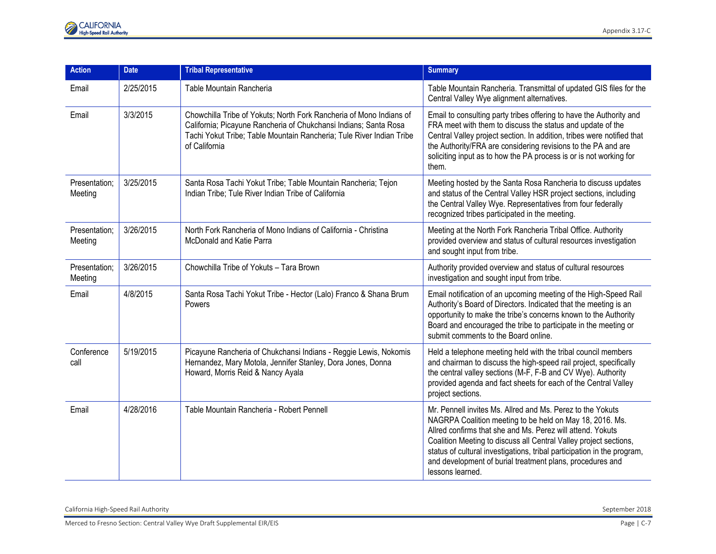| <b>Action</b>            | <b>Date</b> | <b>Tribal Representative</b>                                                                                                                                                                                                     | <b>Summary</b>                                                                                                                                                                                                                                                                                                                                                                                                        |
|--------------------------|-------------|----------------------------------------------------------------------------------------------------------------------------------------------------------------------------------------------------------------------------------|-----------------------------------------------------------------------------------------------------------------------------------------------------------------------------------------------------------------------------------------------------------------------------------------------------------------------------------------------------------------------------------------------------------------------|
| Email                    | 2/25/2015   | Table Mountain Rancheria                                                                                                                                                                                                         | Table Mountain Rancheria. Transmittal of updated GIS files for the<br>Central Valley Wye alignment alternatives.                                                                                                                                                                                                                                                                                                      |
| Email                    | 3/3/2015    | Chowchilla Tribe of Yokuts; North Fork Rancheria of Mono Indians of<br>California; Picayune Rancheria of Chukchansi Indians; Santa Rosa<br>Tachi Yokut Tribe; Table Mountain Rancheria; Tule River Indian Tribe<br>of California | Email to consulting party tribes offering to have the Authority and<br>FRA meet with them to discuss the status and update of the<br>Central Valley project section. In addition, tribes were notified that<br>the Authority/FRA are considering revisions to the PA and are<br>soliciting input as to how the PA process is or is not working for<br>them.                                                           |
| Presentation;<br>Meeting | 3/25/2015   | Santa Rosa Tachi Yokut Tribe; Table Mountain Rancheria; Tejon<br>Indian Tribe; Tule River Indian Tribe of California                                                                                                             | Meeting hosted by the Santa Rosa Rancheria to discuss updates<br>and status of the Central Valley HSR project sections, including<br>the Central Valley Wye. Representatives from four federally<br>recognized tribes participated in the meeting.                                                                                                                                                                    |
| Presentation;<br>Meeting | 3/26/2015   | North Fork Rancheria of Mono Indians of California - Christina<br>McDonald and Katie Parra                                                                                                                                       | Meeting at the North Fork Rancheria Tribal Office. Authority<br>provided overview and status of cultural resources investigation<br>and sought input from tribe.                                                                                                                                                                                                                                                      |
| Presentation;<br>Meeting | 3/26/2015   | Chowchilla Tribe of Yokuts - Tara Brown                                                                                                                                                                                          | Authority provided overview and status of cultural resources<br>investigation and sought input from tribe.                                                                                                                                                                                                                                                                                                            |
| Email                    | 4/8/2015    | Santa Rosa Tachi Yokut Tribe - Hector (Lalo) Franco & Shana Brum<br>Powers                                                                                                                                                       | Email notification of an upcoming meeting of the High-Speed Rail<br>Authority's Board of Directors. Indicated that the meeting is an<br>opportunity to make the tribe's concerns known to the Authority<br>Board and encouraged the tribe to participate in the meeting or<br>submit comments to the Board online.                                                                                                    |
| Conference<br>call       | 5/19/2015   | Picayune Rancheria of Chukchansi Indians - Reggie Lewis, Nokomis<br>Hernandez, Mary Motola, Jennifer Stanley, Dora Jones, Donna<br>Howard, Morris Reid & Nancy Ayala                                                             | Held a telephone meeting held with the tribal council members<br>and chairman to discuss the high-speed rail project, specifically<br>the central valley sections (M-F, F-B and CV Wye). Authority<br>provided agenda and fact sheets for each of the Central Valley<br>project sections.                                                                                                                             |
| Email                    | 4/28/2016   | Table Mountain Rancheria - Robert Pennell                                                                                                                                                                                        | Mr. Pennell invites Ms. Allred and Ms. Perez to the Yokuts<br>NAGRPA Coalition meeting to be held on May 18, 2016. Ms.<br>Allred confirms that she and Ms. Perez will attend. Yokuts<br>Coalition Meeting to discuss all Central Valley project sections,<br>status of cultural investigations, tribal participation in the program,<br>and development of burial treatment plans, procedures and<br>lessons learned. |

California High-Speed Rail Authority September 2018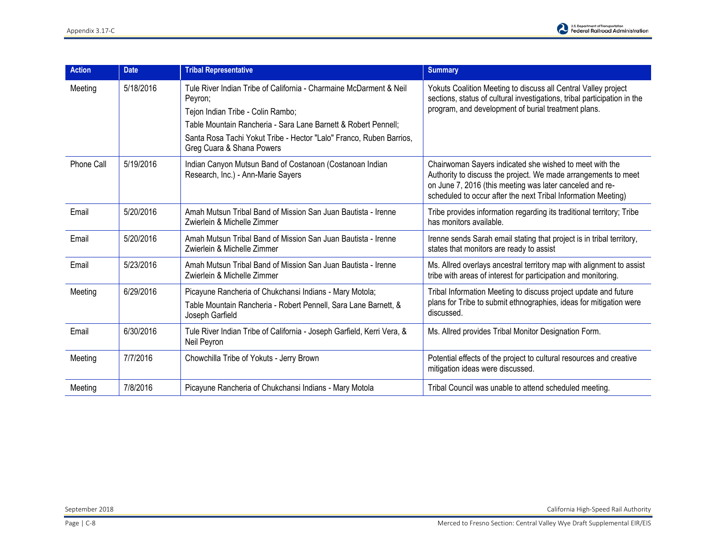

| <b>Action</b> | <b>Date</b> | <b>Tribal Representative</b>                                                                                                                                                                                                                                                             | <b>Summary</b>                                                                                                                                                                                                                                         |
|---------------|-------------|------------------------------------------------------------------------------------------------------------------------------------------------------------------------------------------------------------------------------------------------------------------------------------------|--------------------------------------------------------------------------------------------------------------------------------------------------------------------------------------------------------------------------------------------------------|
| Meeting       | 5/18/2016   | Tule River Indian Tribe of California - Charmaine McDarment & Neil<br>Peyron;<br>Tejon Indian Tribe - Colin Rambo;<br>Table Mountain Rancheria - Sara Lane Barnett & Robert Pennell;<br>Santa Rosa Tachi Yokut Tribe - Hector "Lalo" Franco, Ruben Barrios,<br>Greg Cuara & Shana Powers | Yokuts Coalition Meeting to discuss all Central Valley project<br>sections, status of cultural investigations, tribal participation in the<br>program, and development of burial treatment plans.                                                      |
| Phone Call    | 5/19/2016   | Indian Canyon Mutsun Band of Costanoan (Costanoan Indian<br>Research, Inc.) - Ann-Marie Sayers                                                                                                                                                                                           | Chairwoman Sayers indicated she wished to meet with the<br>Authority to discuss the project. We made arrangements to meet<br>on June 7, 2016 (this meeting was later canceled and re-<br>scheduled to occur after the next Tribal Information Meeting) |
| Email         | 5/20/2016   | Amah Mutsun Tribal Band of Mission San Juan Bautista - Irenne<br>Zwierlein & Michelle Zimmer                                                                                                                                                                                             | Tribe provides information regarding its traditional territory; Tribe<br>has monitors available.                                                                                                                                                       |
| Email         | 5/20/2016   | Amah Mutsun Tribal Band of Mission San Juan Bautista - Irenne<br>Zwierlein & Michelle Zimmer                                                                                                                                                                                             | Irenne sends Sarah email stating that project is in tribal territory,<br>states that monitors are ready to assist                                                                                                                                      |
| Email         | 5/23/2016   | Amah Mutsun Tribal Band of Mission San Juan Bautista - Irenne<br>Zwierlein & Michelle Zimmer                                                                                                                                                                                             | Ms. Allred overlays ancestral territory map with alignment to assist<br>tribe with areas of interest for participation and monitoring.                                                                                                                 |
| Meeting       | 6/29/2016   | Picayune Rancheria of Chukchansi Indians - Mary Motola;<br>Table Mountain Rancheria - Robert Pennell, Sara Lane Barnett, &<br>Joseph Garfield                                                                                                                                            | Tribal Information Meeting to discuss project update and future<br>plans for Tribe to submit ethnographies, ideas for mitigation were<br>discussed.                                                                                                    |
| Email         | 6/30/2016   | Tule River Indian Tribe of California - Joseph Garfield, Kerri Vera, &<br>Neil Peyron                                                                                                                                                                                                    | Ms. Allred provides Tribal Monitor Designation Form.                                                                                                                                                                                                   |
| Meeting       | 7/7/2016    | Chowchilla Tribe of Yokuts - Jerry Brown                                                                                                                                                                                                                                                 | Potential effects of the project to cultural resources and creative<br>mitigation ideas were discussed.                                                                                                                                                |
| Meeting       | 7/8/2016    | Picayune Rancheria of Chukchansi Indians - Mary Motola                                                                                                                                                                                                                                   | Tribal Council was unable to attend scheduled meeting.                                                                                                                                                                                                 |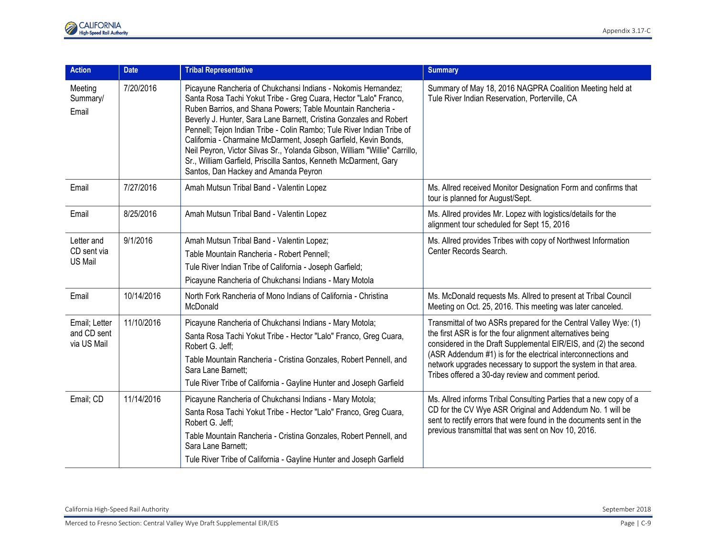| <b>Action</b>                               | <b>Date</b> | <b>Tribal Representative</b>                                                                                                                                                                                                                                                                                                                                                                                                                                                                                                                                                                                 | <b>Summary</b>                                                                                                                                                                                                                                                                                                                                                                             |
|---------------------------------------------|-------------|--------------------------------------------------------------------------------------------------------------------------------------------------------------------------------------------------------------------------------------------------------------------------------------------------------------------------------------------------------------------------------------------------------------------------------------------------------------------------------------------------------------------------------------------------------------------------------------------------------------|--------------------------------------------------------------------------------------------------------------------------------------------------------------------------------------------------------------------------------------------------------------------------------------------------------------------------------------------------------------------------------------------|
| Meeting<br>Summary/<br>Email                | 7/20/2016   | Picayune Rancheria of Chukchansi Indians - Nokomis Hernandez;<br>Santa Rosa Tachi Yokut Tribe - Greg Cuara, Hector "Lalo" Franco,<br>Ruben Barrios, and Shana Powers; Table Mountain Rancheria -<br>Beverly J. Hunter, Sara Lane Barnett, Cristina Gonzales and Robert<br>Pennell; Tejon Indian Tribe - Colin Rambo; Tule River Indian Tribe of<br>California - Charmaine McDarment, Joseph Garfield, Kevin Bonds,<br>Neil Peyron, Victor Silvas Sr., Yolanda Gibson, William "Willie" Carrillo,<br>Sr., William Garfield, Priscilla Santos, Kenneth McDarment, Gary<br>Santos, Dan Hackey and Amanda Peyron | Summary of May 18, 2016 NAGPRA Coalition Meeting held at<br>Tule River Indian Reservation, Porterville, CA                                                                                                                                                                                                                                                                                 |
| Email                                       | 7/27/2016   | Amah Mutsun Tribal Band - Valentin Lopez                                                                                                                                                                                                                                                                                                                                                                                                                                                                                                                                                                     | Ms. Allred received Monitor Designation Form and confirms that<br>tour is planned for August/Sept.                                                                                                                                                                                                                                                                                         |
| Email                                       | 8/25/2016   | Amah Mutsun Tribal Band - Valentin Lopez                                                                                                                                                                                                                                                                                                                                                                                                                                                                                                                                                                     | Ms. Allred provides Mr. Lopez with logistics/details for the<br>alignment tour scheduled for Sept 15, 2016                                                                                                                                                                                                                                                                                 |
| Letter and<br>CD sent via<br><b>US Mail</b> | 9/1/2016    | Amah Mutsun Tribal Band - Valentin Lopez;<br>Table Mountain Rancheria - Robert Pennell;<br>Tule River Indian Tribe of California - Joseph Garfield;<br>Picayune Rancheria of Chukchansi Indians - Mary Motola                                                                                                                                                                                                                                                                                                                                                                                                | Ms. Allred provides Tribes with copy of Northwest Information<br>Center Records Search.                                                                                                                                                                                                                                                                                                    |
| Email                                       | 10/14/2016  | North Fork Rancheria of Mono Indians of California - Christina<br>McDonald                                                                                                                                                                                                                                                                                                                                                                                                                                                                                                                                   | Ms. McDonald requests Ms. Allred to present at Tribal Council<br>Meeting on Oct. 25, 2016. This meeting was later canceled.                                                                                                                                                                                                                                                                |
| Email; Letter<br>and CD sent<br>via US Mail | 11/10/2016  | Picayune Rancheria of Chukchansi Indians - Mary Motola;<br>Santa Rosa Tachi Yokut Tribe - Hector "Lalo" Franco, Greg Cuara,<br>Robert G. Jeff:<br>Table Mountain Rancheria - Cristina Gonzales, Robert Pennell, and<br>Sara Lane Barnett:<br>Tule River Tribe of California - Gayline Hunter and Joseph Garfield                                                                                                                                                                                                                                                                                             | Transmittal of two ASRs prepared for the Central Valley Wye: (1)<br>the first ASR is for the four alignment alternatives being<br>considered in the Draft Supplemental EIR/EIS, and (2) the second<br>(ASR Addendum #1) is for the electrical interconnections and<br>network upgrades necessary to support the system in that area.<br>Tribes offered a 30-day review and comment period. |
| Email; CD                                   | 11/14/2016  | Picayune Rancheria of Chukchansi Indians - Mary Motola;<br>Santa Rosa Tachi Yokut Tribe - Hector "Lalo" Franco, Greg Cuara,<br>Robert G. Jeff;<br>Table Mountain Rancheria - Cristina Gonzales, Robert Pennell, and<br>Sara Lane Barnett:<br>Tule River Tribe of California - Gayline Hunter and Joseph Garfield                                                                                                                                                                                                                                                                                             | Ms. Allred informs Tribal Consulting Parties that a new copy of a<br>CD for the CV Wye ASR Original and Addendum No. 1 will be<br>sent to rectify errors that were found in the documents sent in the<br>previous transmittal that was sent on Nov 10, 2016.                                                                                                                               |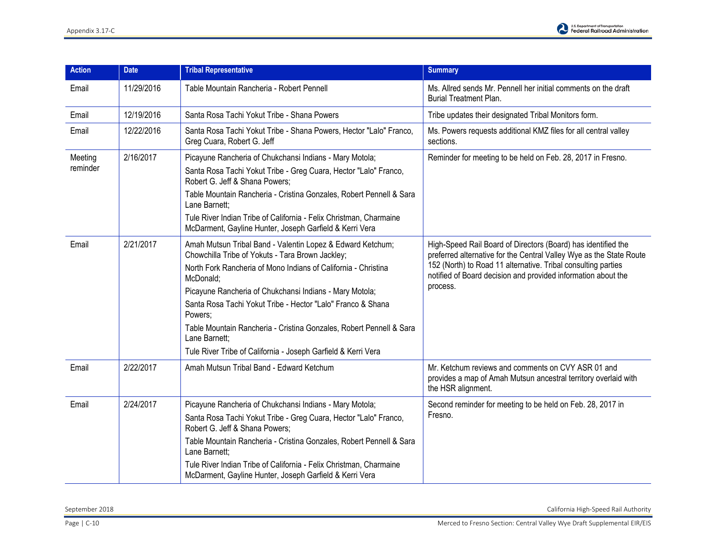

| <b>Action</b> | <b>Date</b> | <b>Tribal Representative</b>                                                                                                  | <b>Summary</b>                                                                                                                                                                                                                                                         |
|---------------|-------------|-------------------------------------------------------------------------------------------------------------------------------|------------------------------------------------------------------------------------------------------------------------------------------------------------------------------------------------------------------------------------------------------------------------|
| Email         | 11/29/2016  | Table Mountain Rancheria - Robert Pennell                                                                                     | Ms. Allred sends Mr. Pennell her initial comments on the draft<br><b>Burial Treatment Plan.</b>                                                                                                                                                                        |
| Email         | 12/19/2016  | Santa Rosa Tachi Yokut Tribe - Shana Powers                                                                                   | Tribe updates their designated Tribal Monitors form.                                                                                                                                                                                                                   |
| Email         | 12/22/2016  | Santa Rosa Tachi Yokut Tribe - Shana Powers, Hector "Lalo" Franco,<br>Greg Cuara, Robert G. Jeff                              | Ms. Powers requests additional KMZ files for all central valley<br>sections.                                                                                                                                                                                           |
| Meeting       | 2/16/2017   | Picayune Rancheria of Chukchansi Indians - Mary Motola;                                                                       | Reminder for meeting to be held on Feb. 28, 2017 in Fresno.                                                                                                                                                                                                            |
| reminder      |             | Santa Rosa Tachi Yokut Tribe - Greg Cuara, Hector "Lalo" Franco,<br>Robert G. Jeff & Shana Powers;                            |                                                                                                                                                                                                                                                                        |
|               |             | Table Mountain Rancheria - Cristina Gonzales, Robert Pennell & Sara<br>Lane Barnett:                                          |                                                                                                                                                                                                                                                                        |
|               |             | Tule River Indian Tribe of California - Felix Christman, Charmaine<br>McDarment, Gayline Hunter, Joseph Garfield & Kerri Vera |                                                                                                                                                                                                                                                                        |
| Email         | 2/21/2017   | Amah Mutsun Tribal Band - Valentin Lopez & Edward Ketchum;<br>Chowchilla Tribe of Yokuts - Tara Brown Jackley;                | High-Speed Rail Board of Directors (Board) has identified the<br>preferred alternative for the Central Valley Wye as the State Route<br>152 (North) to Road 11 alternative. Tribal consulting parties<br>notified of Board decision and provided information about the |
|               |             | North Fork Rancheria of Mono Indians of California - Christina<br>McDonald:                                                   |                                                                                                                                                                                                                                                                        |
|               |             | Picayune Rancheria of Chukchansi Indians - Mary Motola;                                                                       | process.                                                                                                                                                                                                                                                               |
|               |             | Santa Rosa Tachi Yokut Tribe - Hector "Lalo" Franco & Shana<br>Powers:                                                        |                                                                                                                                                                                                                                                                        |
|               |             | Table Mountain Rancheria - Cristina Gonzales, Robert Pennell & Sara<br>Lane Barnett:                                          |                                                                                                                                                                                                                                                                        |
|               |             | Tule River Tribe of California - Joseph Garfield & Kerri Vera                                                                 |                                                                                                                                                                                                                                                                        |
| Email         | 2/22/2017   | Amah Mutsun Tribal Band - Edward Ketchum                                                                                      | Mr. Ketchum reviews and comments on CVY ASR 01 and<br>provides a map of Amah Mutsun ancestral territory overlaid with<br>the HSR alignment.                                                                                                                            |
| Email         | 2/24/2017   | Picayune Rancheria of Chukchansi Indians - Mary Motola;                                                                       | Second reminder for meeting to be held on Feb. 28, 2017 in<br>Fresno.                                                                                                                                                                                                  |
|               |             | Santa Rosa Tachi Yokut Tribe - Greg Cuara, Hector "Lalo" Franco,<br>Robert G. Jeff & Shana Powers;                            |                                                                                                                                                                                                                                                                        |
|               |             | Table Mountain Rancheria - Cristina Gonzales, Robert Pennell & Sara<br>Lane Barnett:                                          |                                                                                                                                                                                                                                                                        |
|               |             | Tule River Indian Tribe of California - Felix Christman, Charmaine<br>McDarment, Gayline Hunter, Joseph Garfield & Kerri Vera |                                                                                                                                                                                                                                                                        |

September 2018 California High-Speed Rail Authority